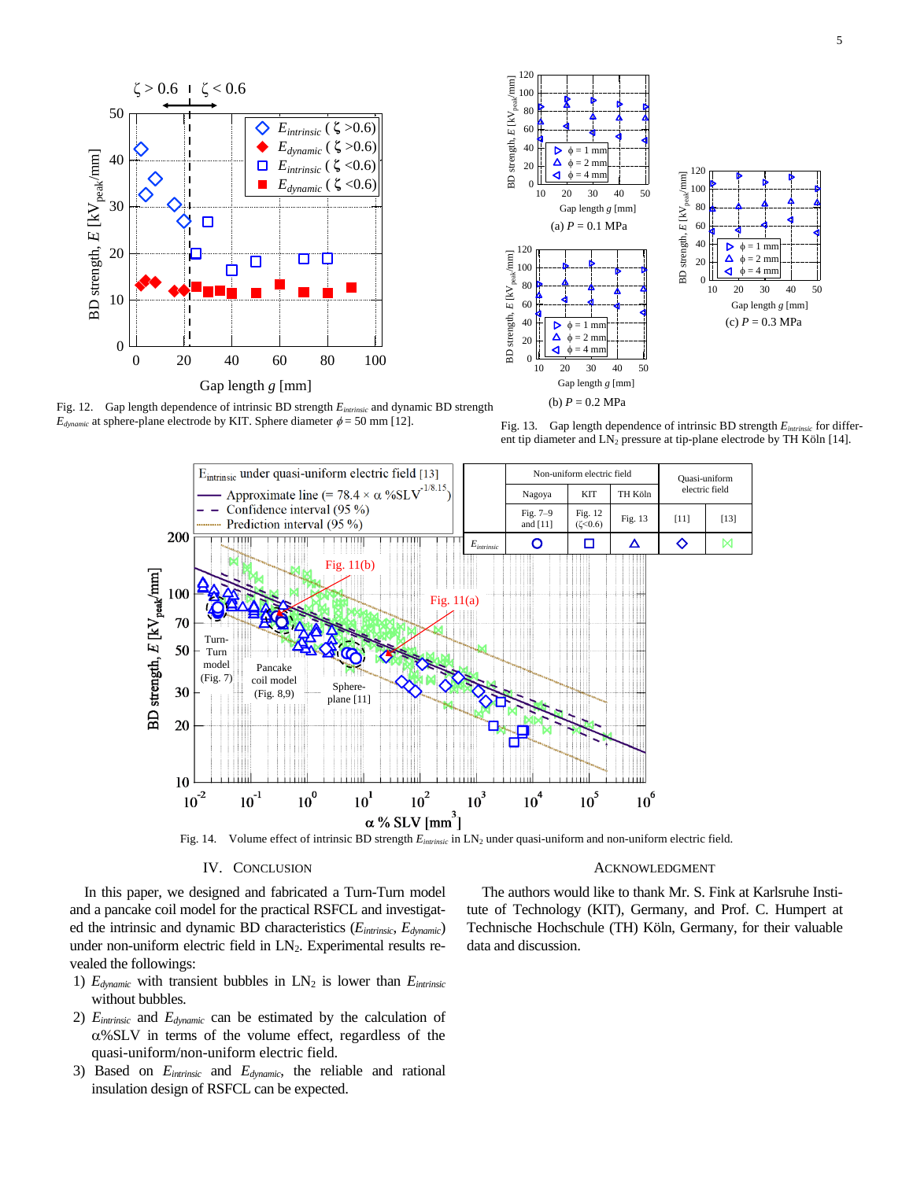



Fig. 12. Gap length dependence of intrinsic BD strength *Eintrinsic* and dynamic BD strength  $E_{dynamic}$  at sphere-plane electrode by KIT. Sphere diameter  $\phi = 50$  mm [12].

Fig. 13. Gap length dependence of intrinsic BD strength *Eintrinsic* for different tip diameter and LN<sub>2</sub> pressure at tip-plane electrode by TH Köln [14].



## IV. CONCLUSION

ACKNOWLEDGMENT

In this paper, we designed and fabricated a Turn-Turn model and a pancake coil model for the practical RSFCL and investigated the intrinsic and dynamic BD characteristics (*Eintrinsic*, *Edynamic*) under non-uniform electric field in  $LN<sub>2</sub>$ . Experimental results revealed the followings:

- 1)  $E_{dynamic}$  with transient bubbles in  $LN_2$  is lower than  $E_{intrinsic}$ without bubbles.
- 2) *Eintrinsic* and *Edynamic* can be estimated by the calculation of  $\alpha$ %SLV in terms of the volume effect, regardless of the quasi-uniform/non-uniform electric field.
- 3) Based on *Eintrinsic* and *Edynamic*, the reliable and rational insulation design of RSFCL can be expected.

The authors would like to thank Mr. S. Fink at Karlsruhe Institute of Technology (KIT), Germany, and Prof. C. Humpert at Technische Hochschule (TH) Köln, Germany, for their valuable data and discussion.